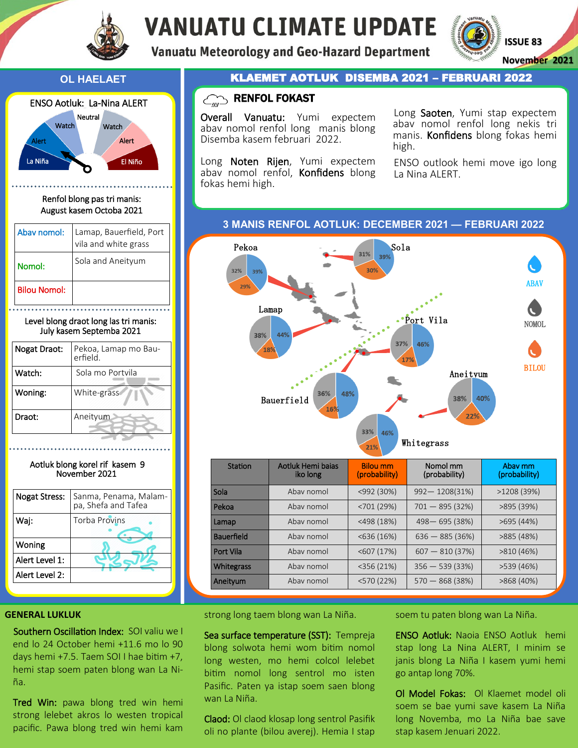

# **VANUATU CLIMATE UPDATE**

**Vanuatu Meteorology and Geo-Hazard Department** 





Renfol blong pas tri manis: August kasem Octoba 2021

| Abav nomol:         | Lamap, Bauerfield, Port<br>vila and white grass |  |
|---------------------|-------------------------------------------------|--|
| Nomol:              | Sola and Aneityum                               |  |
| <b>Bilou Nomol:</b> |                                                 |  |

Level blong draot long las tri manis: July kasem Septemba 2021

| Nogat Draot: | Pekoa, Lamap mo Bau-<br>erfield. |  |  |
|--------------|----------------------------------|--|--|
| Watch:       | Sola mo Portvila                 |  |  |
| Woning:      | White-grass                      |  |  |
| Draot:       | Aneityum                         |  |  |
|              |                                  |  |  |

### Aotluk blong korel rif kasem 9 November 2021



### **GENERAL LUKLUK**

Southern Oscillation Index: SOI valiu we I end lo 24 October hemi +11.6 mo lo 90 days hemi +7.5. Taem SOI I hae bitim +7, hemi stap soem paten blong wan La Niña.

Tred Win: pawa blong tred win hemi strong lelebet akros lo westen tropical pacific. Pawa blong tred win hemi kam

### **OL HAELAET KLAEMET AOTLUK DISEMBA 2021 – FEBRUARI 2022**

## $\text{C}_{\text{min}}$  RENFOL FOKAST

Overall Vanuatu: Yumi expectem abav nomol renfol long manis blong Disemba kasem februari 2022.

Long Noten Rijen, Yumi expectem abav nomol renfol, Konfidens blong fokas hemi high.

Long Saoten, Yumi stap expectem abav nomol renfol long nekis tri manis. Konfidens blong fokas hemi high.

ENSO outlook hemi move igo long La Nina ALERT.

### **3 MANIS RENFOL AOTLUK: DECEMBER 2021 — FEBRUARI 2022**



| Station           | Aotluk Hemi bajas<br>iko long | <b>Bilou mm</b><br>(probability) | Nomol mm<br>(probability) | Abay mm<br>(probability) |
|-------------------|-------------------------------|----------------------------------|---------------------------|--------------------------|
| Sola              | Abay nomol                    | $<$ 992 $(30%)$                  | $992 - 1208(31\%)$        | >1208(39%)               |
| Pekoa             | Ahay nomol                    | < 701(29%)                       | $701 - 895(32%)$          | >895 (39%)               |
| Lamap             | Ahay nomol                    | $<$ 498 $(18%)$                  | 498-695 (38%)             | >695(44%)                |
| <b>Bauerfield</b> | Ahay nomol                    | $<$ 636 (16%)                    | $636 - 885(36%)$          | >885(48%)                |
| Port Vila         | Ahay nomol                    | $<$ 607 (17%)                    | $607 - 810(37%)$          | >810(46%)                |
| <b>Whitegrass</b> | Ahay nomol                    | $<$ 356 (21%)                    | $356 - 539(33%)$          | >539 (46%)               |
| Aneityum          | Abay nomol                    | $<$ 570 $(22%)$                  | $570 - 868(38%)$          | >868(40%)                |

strong long taem blong wan La Niña.

Sea surface temperature (SST): Tempreja blong solwota hemi wom bitim nomol long westen, mo hemi colcol lelebet bitim nomol long sentrol mo isten Pasific. Paten ya istap soem saen blong wan La Niña.

Claod: Ol claod klosap long sentrol Pasifik oli no plante (bilou averej). Hemia I stap

soem tu paten blong wan La Niña.

ENSO Aotluk: Naoia ENSO Aotluk hemi stap long La Nina ALERT, I minim se janis blong La Niña I kasem yumi hemi go antap long 70%.

Ol Model Fokas: Ol Klaemet model oli soem se bae yumi save kasem La Niña long Novemba, mo La Niña bae save stap kasem Jenuari 2022.